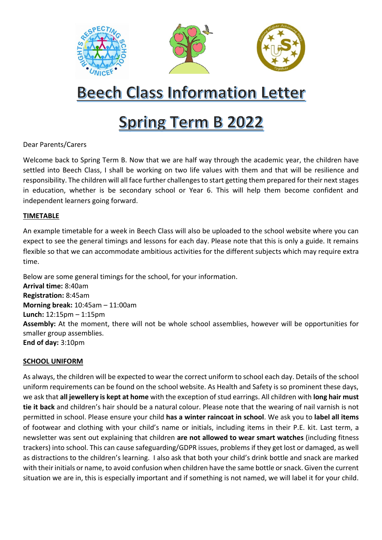

# **Beech Class Information Letter**

## **Spring Term B 2022**

## Dear Parents/Carers

Welcome back to Spring Term B. Now that we are half way through the academic year, the children have settled into Beech Class, I shall be working on two life values with them and that will be resilience and responsibility. The children will all face further challenges to start getting them prepared for their next stages in education, whether is be secondary school or Year 6. This will help them become confident and independent learners going forward.

## **TIMETABLE**

An example timetable for a week in Beech Class will also be uploaded to the school website where you can expect to see the general timings and lessons for each day. Please note that this is only a guide. It remains flexible so that we can accommodate ambitious activities for the different subjects which may require extra time.

Below are some general timings for the school, for your information. **Arrival time:** 8:40am **Registration:** 8:45am **Morning break:** 10:45am – 11:00am **Lunch:** 12:15pm – 1:15pm **Assembly:** At the moment, there will not be whole school assemblies, however will be opportunities for smaller group assemblies. **End of day:** 3:10pm

## **SCHOOL UNIFORM**

As always, the children will be expected to wear the correct uniform to school each day. Details of the school uniform requirements can be found on the school website. As Health and Safety is so prominent these days, we ask that **all jewellery is kept at home** with the exception of stud earrings. All children with **long hair must tie it back** and children's hair should be a natural colour. Please note that the wearing of nail varnish is not permitted in school. Please ensure your child **has a winter raincoat in school**. We ask you to **label all items** of footwear and clothing with your child's name or initials, including items in their P.E. kit. Last term, a newsletter was sent out explaining that children **are not allowed to wear smart watches** (including fitness trackers) into school. This can cause safeguarding/GDPR issues, problems if they get lost or damaged, as well as distractions to the children's learning. I also ask that both your child's drink bottle and snack are marked with their initials or name, to avoid confusion when children have the same bottle or snack. Given the current situation we are in, this is especially important and if something is not named, we will label it for your child.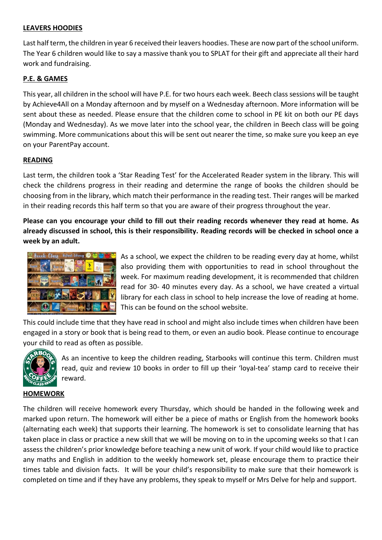## **LEAVERS HOODIES**

Last half term, the children in year 6 received their leavers hoodies. These are now part of the school uniform. The Year 6 children would like to say a massive thank you to SPLAT for their gift and appreciate all their hard work and fundraising.

## **P.E. & GAMES**

This year, all children in the school will have P.E. for two hours each week. Beech class sessions will be taught by Achieve4All on a Monday afternoon and by myself on a Wednesday afternoon. More information will be sent about these as needed. Please ensure that the children come to school in PE kit on both our PE days (Monday and Wednesday). As we move later into the school year, the children in Beech class will be going swimming. More communications about this will be sent out nearer the time, so make sure you keep an eye on your ParentPay account.

## **READING**

Last term, the children took a 'Star Reading Test' for the Accelerated Reader system in the library. This will check the childrens progress in their reading and determine the range of books the children should be choosing from in the library, which match their performance in the reading test. Their ranges will be marked in their reading records this half term so that you are aware of their progress throughout the year.

**Please can you encourage your child to fill out their reading records whenever they read at home. As already discussed in school, this is their responsibility. Reading records will be checked in school once a week by an adult.** 



As a school, we expect the children to be reading every day at home, whilst also providing them with opportunities to read in school throughout the week. For maximum reading development, it is recommended that children read for 30- 40 minutes every day. As a school, we have created a virtual library for each class in school to help increase the love of reading at home. This can be found on the school website.

This could include time that they have read in school and might also include times when children have been engaged in a story or book that is being read to them, or even an audio book. Please continue to encourage your child to read as often as possible.



As an incentive to keep the children reading, Starbooks will continue this term. Children must read, quiz and review 10 books in order to fill up their 'loyal-tea' stamp card to receive their reward.

## **HOMEWORK**

The children will receive homework every Thursday, which should be handed in the following week and marked upon return. The homework will either be a piece of maths or English from the homework books (alternating each week) that supports their learning. The homework is set to consolidate learning that has taken place in class or practice a new skill that we will be moving on to in the upcoming weeks so that I can assess the children's prior knowledge before teaching a new unit of work. If your child would like to practice any maths and English in addition to the weekly homework set, please encourage them to practice their times table and division facts. It will be your child's responsibility to make sure that their homework is completed on time and if they have any problems, they speak to myself or Mrs Delve for help and support.